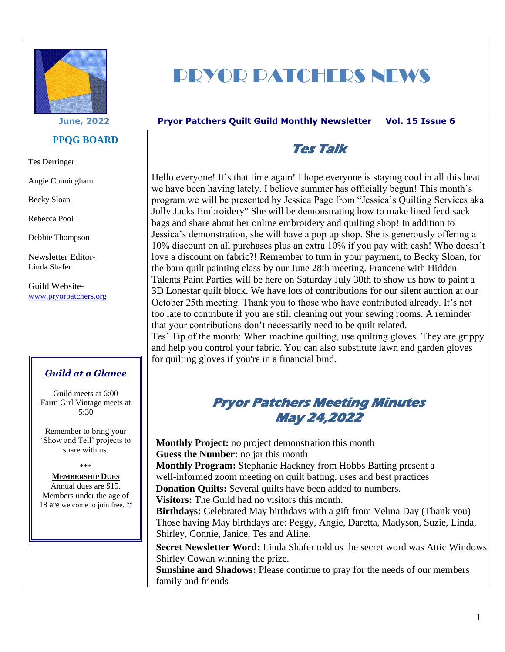

# PRYOR PATCHERS NEWS

#### **June, 2022 Pryor Patchers Quilt Guild Monthly Newsletter Vol. 15 Issue 6**

### **PPQG BOARD**

Tes Derringer

Angie Cunningham

Becky Sloan

Rebecca Pool

Debbie Thompson

Newsletter Editor-Linda Shafer

Guild Website[www.pryorpatchers.org](http://www.pryorpatchers.org/)

### *Guild at a Glance*

Guild meets at 6:00 Farm Girl Vintage meets at 5:30

Remember to bring your 'Show and Tell' projects to share with us.

\*\*\*

#### **MEMBERSHIP DUES**

Annual dues are \$15. Members under the age of 18 are welcome to join free.  $\odot$ 

## **Tes Talk**

Hello everyone! It's that time again! I hope everyone is staying cool in all this heat we have been having lately. I believe summer has officially begun! This month's program we will be presented by Jessica Page from "Jessica's Quilting Services aka Jolly Jacks Embroidery" She will be demonstrating how to make lined feed sack bags and share about her online embroidery and quilting shop! In addition to Jessica's demonstration, she will have a pop up shop. She is generously offering a 10% discount on all purchases plus an extra 10% if you pay with cash! Who doesn't love a discount on fabric?! Remember to turn in your payment, to Becky Sloan, for the barn quilt painting class by our June 28th meeting. Francene with Hidden Talents Paint Parties will be here on Saturday July 30th to show us how to paint a 3D Lonestar quilt block. We have lots of contributions for our silent auction at our October 25th meeting. Thank you to those who have contributed already. It's not too late to contribute if you are still cleaning out your sewing rooms. A reminder that your contributions don't necessarily need to be quilt related. Tes' Tip of the month: When machine quilting, use quilting gloves. They are grippy

and help you control your fabric. You can also substitute lawn and garden gloves for quilting gloves if you're in a financial bind.

### **Pryor Patchers Meeting Minutes May 24,2022**

**Monthly Project:** no project demonstration this month **Guess the Number:** no jar this month **Monthly Program:** Stephanie Hackney from Hobbs Batting present a well-informed zoom meeting on quilt batting, uses and best practices **Donation Quilts:** Several quilts have been added to numbers. **Visitors:** The Guild had no visitors this month. **Birthdays:** Celebrated May birthdays with a gift from Velma Day (Thank you) Those having May birthdays are: Peggy, Angie, Daretta, Madyson, Suzie, Linda, Shirley, Connie, Janice, Tes and Aline. **Secret Newsletter Word:** Linda Shafer told us the secret word was Attic Windows

Shirley Cowan winning the prize.

**Sunshine and Shadows:** Please continue to pray for the needs of our members family and friends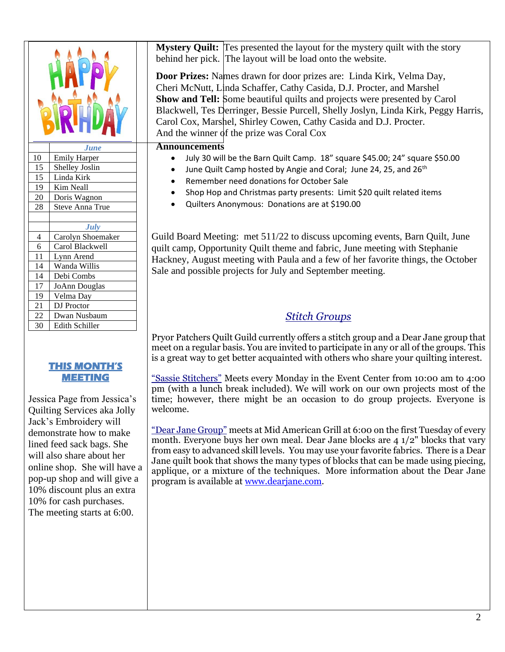|                 | <b>June</b>            |
|-----------------|------------------------|
| 10              | <b>Emily Harper</b>    |
| 15              | Shelley Joslin         |
| 15              | Linda Kirk             |
| 19              | Kim Neall              |
| 20              | Doris Wagnon           |
| 28              | <b>Steve Anna True</b> |
|                 |                        |
|                 | July                   |
| 4               | Carolyn Shoemaker      |
| $\frac{6}{11}$  | Carol Blackwell        |
|                 | Lynn Arend             |
| $\overline{14}$ | Wanda Willis           |
| $\overline{14}$ | Debi Combs             |
| $\overline{17}$ | <b>JoAnn Douglas</b>   |
| 19              | Velma Day              |
| $2\overline{1}$ | DJ Proctor             |
| 22              | Dwan Nusbaum           |
| 30              | Edith Schiller         |

### **THIS MONTH'S MEETING**

Jessica Page from Jessica's Quilting Services aka Jolly Jack's Embroidery will demonstrate how to make lined feed sack bags. She will also share about her online shop. She will have a pop-up shop and will give a 10% discount plus an extra 10% for cash purchases. The meeting starts at 6:00.

**Mystery Quilt:** Tes presented the layout for the mystery quilt with the story behind her pick. The layout will be load onto the website.

**Door Prizes:** Names drawn for door prizes are: Linda Kirk, Velma Day, Cheri McNutt, Linda Schaffer, Cathy Casida, D.J. Procter, and Marshel **Show and Tell:** Some beautiful quilts and projects were presented by Carol Blackwell, Tes Derringer, Bessie Purcell, Shelly Joslyn, Linda Kirk, Peggy Harris, Carol Cox, Marshel, Shirley Cowen, Cathy Casida and D.J. Procter. And the winner of the prize was Coral Cox

### **Announcements**

- July 30 will be the Barn Quilt Camp. 18" square \$45.00; 24" square \$50.00
- June Quilt Camp hosted by Angie and Coral; June 24, 25, and 26<sup>th</sup>
- Remember need donations for October Sale
- Shop Hop and Christmas party presents: Limit \$20 quilt related items
- Quilters Anonymous: Donations are at \$190.00

Guild Board Meeting: met 511/22 to discuss upcoming events, Barn Quilt, June quilt camp, Opportunity Quilt theme and fabric, June meeting with Stephanie Hackney, August meeting with Paula and a few of her favorite things, the October Sale and possible projects for July and September meeting.

### *Stitch Groups*

Pryor Patchers Quilt Guild currently offers a stitch group and a Dear Jane group that meet on a regular basis. You are invited to participate in any or all of the groups. This is a great way to get better acquainted with others who share your quilting interest.

"Sassie Stitchers" Meets every Monday in the Event Center from 10:00 am to 4:00 pm (with a lunch break included). We will work on our own projects most of the time; however, there might be an occasion to do group projects. Everyone is welcome.

"Dear Jane Group" meets at Mid American Grill at 6:00 on the first Tuesday of every month. Everyone buys her own meal. Dear Jane blocks are 4 1/2" blocks that vary from easy to advanced skill levels. You may use your favorite fabrics. There is a Dear Jane quilt book that shows the many types of blocks that can be made using piecing, applique, or a mixture of the techniques. More information about the Dear Jane program is available at [www.dearjane.com.](http://www.dearjane.com/)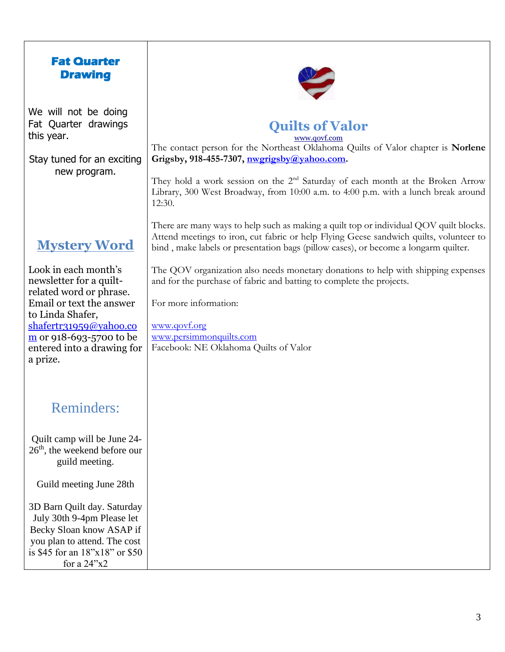| <b>Fat Quarter</b><br><b>Drawing</b>                                                                                                                                                                                                                                                                                   |                                                                                                                                                                                                                                                                                                                                                                                                                                                                                                                                                   |
|------------------------------------------------------------------------------------------------------------------------------------------------------------------------------------------------------------------------------------------------------------------------------------------------------------------------|---------------------------------------------------------------------------------------------------------------------------------------------------------------------------------------------------------------------------------------------------------------------------------------------------------------------------------------------------------------------------------------------------------------------------------------------------------------------------------------------------------------------------------------------------|
| We will not be doing<br>Fat Quarter drawings<br>this year.<br>Stay tuned for an exciting<br>new program.                                                                                                                                                                                                               | <b>Quilts of Valor</b><br>www.qovf.com<br>The contact person for the Northeast Oklahoma Quilts of Valor chapter is Norlene<br>Grigsby, 918-455-7307, nwgrigsby@yahoo.com.<br>They hold a work session on the 2 <sup>nd</sup> Saturday of each month at the Broken Arrow<br>Library, 300 West Broadway, from 10:00 a.m. to 4:00 p.m. with a lunch break around<br>12:30.                                                                                                                                                                           |
| <b>Mystery Word</b><br>Look in each month's<br>newsletter for a quilt-<br>related word or phrase.<br>Email or text the answer<br>to Linda Shafer,<br>shafertr31959@yahoo.co<br>$\underline{m}$ or 918-693-5700 to be<br>entered into a drawing for<br>a prize.                                                         | There are many ways to help such as making a quilt top or individual QOV quilt blocks.<br>Attend meetings to iron, cut fabric or help Flying Geese sandwich quilts, volunteer to<br>bind, make labels or presentation bags (pillow cases), or become a longarm quilter.<br>The QOV organization also needs monetary donations to help with shipping expenses<br>and for the purchase of fabric and batting to complete the projects.<br>For more information:<br>www.qovf.org<br>www.persimmonquilts.com<br>Facebook: NE Oklahoma Quilts of Valor |
| <b>Reminders:</b><br>Quilt camp will be June 24-<br>26 <sup>th</sup> , the weekend before our<br>guild meeting.<br>Guild meeting June 28th<br>3D Barn Quilt day. Saturday<br>July 30th 9-4pm Please let<br>Becky Sloan know ASAP if<br>you plan to attend. The cost<br>is \$45 for an 18"x18" or \$50<br>for a $24"x2$ |                                                                                                                                                                                                                                                                                                                                                                                                                                                                                                                                                   |